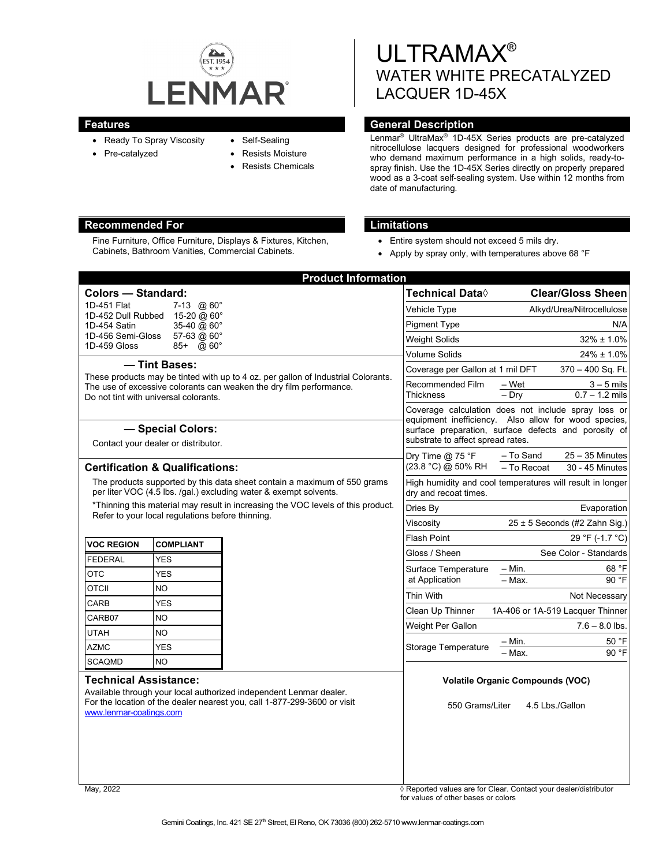

- Ready To Spray Viscosity
- Pre-catalyzed
- Self-Sealing
- 
- Resists Moisture
- Resists Chemicals

# **Recommended For Limitations**

Fine Furniture, Office Furniture, Displays & Fixtures, Kitchen, Cabinets, Bathroom Vanities, Commercial Cabinets.

ULTRAMAX® WATER WHITE PRECATALYZED LACQUER 1D-45X

# **Features General Description**

Lenmar® UltraMax® 1D-45X Series products are pre-catalyzed nitrocellulose lacquers designed for professional woodworkers who demand maximum performance in a high solids, ready-tospray finish. Use the 1D-45X Series directly on properly prepared wood as a 3-coat self-sealing system. Use within 12 months from date of manufacturing.

- Entire system should not exceed 5 mils dry.
- Apply by spray only, with temperatures above 68 °F

|                                                                                                                                                                                                                    |                  | <b>Product Information</b> |                                                                                                                                                   |                                                                  |
|--------------------------------------------------------------------------------------------------------------------------------------------------------------------------------------------------------------------|------------------|----------------------------|---------------------------------------------------------------------------------------------------------------------------------------------------|------------------------------------------------------------------|
| <b>Colors - Standard:</b>                                                                                                                                                                                          |                  |                            | Technical Data $\Diamond$                                                                                                                         | <b>Clear/Gloss Sheen</b>                                         |
| 1D-451 Flat<br>7-13 $@60°$                                                                                                                                                                                         |                  |                            | Vehicle Type                                                                                                                                      | Alkyd/Urea/Nitrocellulose                                        |
| 1D-452 Dull Rubbed<br>15-20 @ 60°<br>35-40 @ 60°<br>1D-454 Satin<br>1D-456 Semi-Gloss<br>57-63 @ 60°<br>1D-459 Gloss<br>@ 60°<br>85+                                                                               |                  |                            | Pigment Type                                                                                                                                      | N/A                                                              |
|                                                                                                                                                                                                                    |                  |                            | Weight Solids                                                                                                                                     | $32\% \pm 1.0\%$                                                 |
|                                                                                                                                                                                                                    |                  |                            | <b>Volume Solids</b>                                                                                                                              | $24\% \pm 1.0\%$                                                 |
| - Tint Bases:<br>These products may be tinted with up to 4 oz. per gallon of Industrial Colorants.<br>The use of excessive colorants can weaken the dry film performance.<br>Do not tint with universal colorants. |                  |                            | Coverage per Gallon at 1 mil DFT                                                                                                                  | 370 - 400 Sq. Ft.                                                |
|                                                                                                                                                                                                                    |                  |                            | Recommended Film<br><b>Thickness</b>                                                                                                              | $3 - 5$ mils<br>– Wet<br>$-$ Dry<br>$0.7 - 1.2$ mils             |
|                                                                                                                                                                                                                    |                  |                            |                                                                                                                                                   | Coverage calculation does not include spray loss or              |
| - Special Colors:<br>Contact your dealer or distributor.                                                                                                                                                           |                  |                            | equipment inefficiency. Also allow for wood species,<br>surface preparation, surface defects and porosity of<br>substrate to affect spread rates. |                                                                  |
| <b>Certification &amp; Qualifications:</b>                                                                                                                                                                         |                  |                            | Dry Time @ 75 °F<br>(23.8 °C) @ 50% RH                                                                                                            | $25 - 35$ Minutes<br>– To Sand<br>- To Recoat<br>30 - 45 Minutes |
| The products supported by this data sheet contain a maximum of 550 grams<br>per liter VOC (4.5 lbs. /gal.) excluding water & exempt solvents.                                                                      |                  |                            | High humidity and cool temperatures will result in longer<br>dry and recoat times.                                                                |                                                                  |
| *Thinning this material may result in increasing the VOC levels of this product.<br>Refer to your local regulations before thinning.                                                                               |                  |                            | Dries By                                                                                                                                          | Evaporation                                                      |
|                                                                                                                                                                                                                    |                  |                            | Viscosity                                                                                                                                         | 25 ± 5 Seconds (#2 Zahn Sig.)                                    |
| <b>VOC REGION</b>                                                                                                                                                                                                  | <b>COMPLIANT</b> |                            | <b>Flash Point</b>                                                                                                                                | 29 °F (-1.7 °C)                                                  |
| <b>FEDERAL</b>                                                                                                                                                                                                     | <b>YES</b>       |                            | Gloss / Sheen                                                                                                                                     | See Color - Standards                                            |
| <b>OTC</b>                                                                                                                                                                                                         | <b>YES</b>       |                            | Surface Temperature                                                                                                                               | $-$ Min.<br>68 °F                                                |
| OTCII                                                                                                                                                                                                              | N <sub>O</sub>   |                            | at Application                                                                                                                                    | - Max.<br>90 °F                                                  |
| CARB                                                                                                                                                                                                               | <b>YES</b>       |                            | Thin With                                                                                                                                         | Not Necessary                                                    |
| CARB07                                                                                                                                                                                                             | <b>NO</b>        |                            | Clean Up Thinner                                                                                                                                  | 1A-406 or 1A-519 Lacquer Thinner                                 |
| <b>UTAH</b>                                                                                                                                                                                                        | <b>NO</b>        |                            | Weight Per Gallon                                                                                                                                 | $7.6 - 8.0$ lbs.                                                 |
| <b>AZMC</b>                                                                                                                                                                                                        | <b>YES</b>       |                            | Storage Temperature                                                                                                                               | – Min.<br>50 °F                                                  |
| <b>SCAQMD</b>                                                                                                                                                                                                      | <b>NO</b>        |                            |                                                                                                                                                   | 90 °F<br>- Max.                                                  |
| <b>Technical Assistance:</b><br>Available through your local authorized independent Lenmar dealer.<br>For the location of the dealer nearest you, call 1-877-299-3600 or visit<br>www.lenmar-coatings.com          |                  |                            | 550 Grams/Liter                                                                                                                                   | <b>Volatile Organic Compounds (VOC)</b><br>4.5 Lbs./Gallon       |
| Mav. 2022                                                                                                                                                                                                          |                  |                            |                                                                                                                                                   | ◊ Reported values are for Clear. Contact your dealer/distributor |

for values of other bases or colors